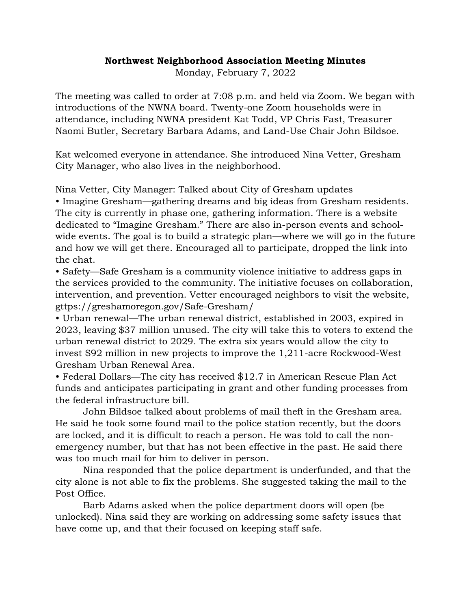## **Northwest Neighborhood Association Meeting Minutes**

Monday, February 7, 2022

The meeting was called to order at 7:08 p.m. and held via Zoom. We began with introductions of the NWNA board. Twenty-one Zoom households were in attendance, including NWNA president Kat Todd, VP Chris Fast, Treasurer Naomi Butler, Secretary Barbara Adams, and Land-Use Chair John Bildsoe.

Kat welcomed everyone in attendance. She introduced Nina Vetter, Gresham City Manager, who also lives in the neighborhood.

Nina Vetter, City Manager: Talked about City of Gresham updates • Imagine Gresham—gathering dreams and big ideas from Gresham residents. The city is currently in phase one, gathering information. There is a website dedicated to "Imagine Gresham." There are also in-person events and schoolwide events. The goal is to build a strategic plan—where we will go in the future and how we will get there. Encouraged all to participate, dropped the link into the chat.

• Safety—Safe Gresham is a community violence initiative to address gaps in the services provided to the community. The initiative focuses on collaboration, intervention, and prevention. Vetter encouraged neighbors to visit the website, gttps://greshamoregon.gov/Safe-Gresham/

• Urban renewal—The urban renewal district, established in 2003, expired in 2023, leaving \$37 million unused. The city will take this to voters to extend the urban renewal district to 2029. The extra six years would allow the city to invest \$92 million in new projects to improve the 1,211-acre Rockwood-West Gresham Urban Renewal Area.

• Federal Dollars—The city has received \$12.7 in American Rescue Plan Act funds and anticipates participating in grant and other funding processes from the federal infrastructure bill.

John Bildsoe talked about problems of mail theft in the Gresham area. He said he took some found mail to the police station recently, but the doors are locked, and it is difficult to reach a person. He was told to call the nonemergency number, but that has not been effective in the past. He said there was too much mail for him to deliver in person.

Nina responded that the police department is underfunded, and that the city alone is not able to fix the problems. She suggested taking the mail to the Post Office.

Barb Adams asked when the police department doors will open (be unlocked). Nina said they are working on addressing some safety issues that have come up, and that their focused on keeping staff safe.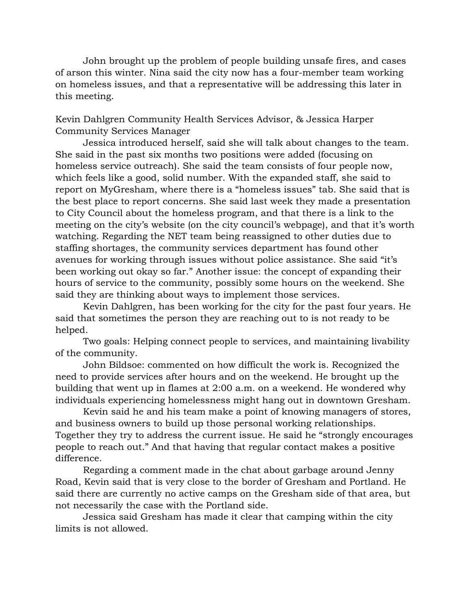John brought up the problem of people building unsafe fires, and cases of arson this winter. Nina said the city now has a four-member team working on homeless issues, and that a representative will be addressing this later in this meeting.

Kevin Dahlgren Community Health Services Advisor, & Jessica Harper Community Services Manager

Jessica introduced herself, said she will talk about changes to the team. She said in the past six months two positions were added (focusing on homeless service outreach). She said the team consists of four people now, which feels like a good, solid number. With the expanded staff, she said to report on MyGresham, where there is a "homeless issues" tab. She said that is the best place to report concerns. She said last week they made a presentation to City Council about the homeless program, and that there is a link to the meeting on the city's website (on the city council's webpage), and that it's worth watching. Regarding the NET team being reassigned to other duties due to staffing shortages, the community services department has found other avenues for working through issues without police assistance. She said "it's been working out okay so far." Another issue: the concept of expanding their hours of service to the community, possibly some hours on the weekend. She said they are thinking about ways to implement those services.

Kevin Dahlgren, has been working for the city for the past four years. He said that sometimes the person they are reaching out to is not ready to be helped.

Two goals: Helping connect people to services, and maintaining livability of the community.

John Bildsoe: commented on how difficult the work is. Recognized the need to provide services after hours and on the weekend. He brought up the building that went up in flames at 2:00 a.m. on a weekend. He wondered why individuals experiencing homelessness might hang out in downtown Gresham.

Kevin said he and his team make a point of knowing managers of stores, and business owners to build up those personal working relationships. Together they try to address the current issue. He said he "strongly encourages people to reach out." And that having that regular contact makes a positive difference.

Regarding a comment made in the chat about garbage around Jenny Road, Kevin said that is very close to the border of Gresham and Portland. He said there are currently no active camps on the Gresham side of that area, but not necessarily the case with the Portland side.

Jessica said Gresham has made it clear that camping within the city limits is not allowed.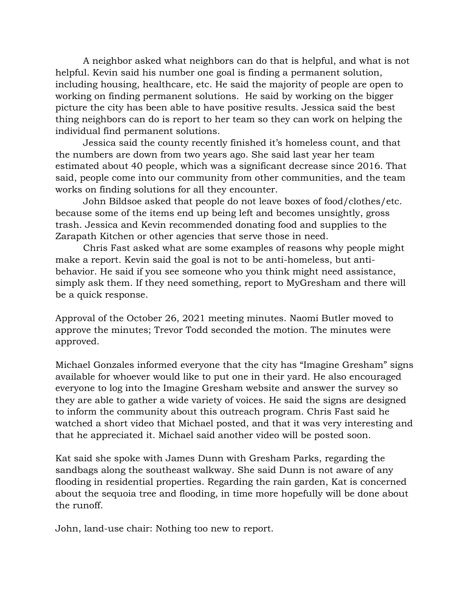A neighbor asked what neighbors can do that is helpful, and what is not helpful. Kevin said his number one goal is finding a permanent solution, including housing, healthcare, etc. He said the majority of people are open to working on finding permanent solutions. He said by working on the bigger picture the city has been able to have positive results. Jessica said the best thing neighbors can do is report to her team so they can work on helping the individual find permanent solutions.

Jessica said the county recently finished it's homeless count, and that the numbers are down from two years ago. She said last year her team estimated about 40 people, which was a significant decrease since 2016. That said, people come into our community from other communities, and the team works on finding solutions for all they encounter.

John Bildsoe asked that people do not leave boxes of food/clothes/etc. because some of the items end up being left and becomes unsightly, gross trash. Jessica and Kevin recommended donating food and supplies to the Zarapath Kitchen or other agencies that serve those in need.

Chris Fast asked what are some examples of reasons why people might make a report. Kevin said the goal is not to be anti-homeless, but antibehavior. He said if you see someone who you think might need assistance, simply ask them. If they need something, report to MyGresham and there will be a quick response.

Approval of the October 26, 2021 meeting minutes. Naomi Butler moved to approve the minutes; Trevor Todd seconded the motion. The minutes were approved.

Michael Gonzales informed everyone that the city has "Imagine Gresham" signs available for whoever would like to put one in their yard. He also encouraged everyone to log into the Imagine Gresham website and answer the survey so they are able to gather a wide variety of voices. He said the signs are designed to inform the community about this outreach program. Chris Fast said he watched a short video that Michael posted, and that it was very interesting and that he appreciated it. Michael said another video will be posted soon.

Kat said she spoke with James Dunn with Gresham Parks, regarding the sandbags along the southeast walkway. She said Dunn is not aware of any flooding in residential properties. Regarding the rain garden, Kat is concerned about the sequoia tree and flooding, in time more hopefully will be done about the runoff.

John, land-use chair: Nothing too new to report.